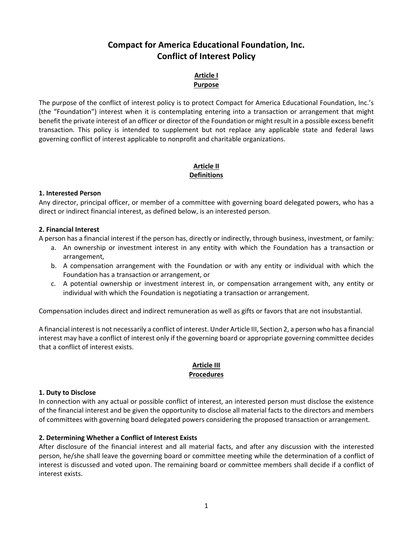# **Compact for America Educational Foundation, Inc. Conflict of Interest Policy**

## **Article I Purpose**

The purpose of the conflict of interest policy is to protect Compact for America Educational Foundation, Inc.'s (the "Foundation") interest when it is contemplating entering into a transaction or arrangement that might benefit the private interest of an officer or director of the Foundation or might result in a possible excess benefit transaction. This policy is intended to supplement but not replace any applicable state and federal laws governing conflict of interest applicable to nonprofit and charitable organizations.

## **Article II Definitions**

## **1. Interested Person**

Any director, principal officer, or member of a committee with governing board delegated powers, who has a direct or indirect financial interest, as defined below, is an interested person.

## **2. Financial Interest**

A person has a financial interest if the person has, directly or indirectly, through business, investment, or family:

- a. An ownership or investment interest in any entity with which the Foundation has a transaction or arrangement,
- b. A compensation arrangement with the Foundation or with any entity or individual with which the Foundation has a transaction or arrangement, or
- c. A potential ownership or investment interest in, or compensation arrangement with, any entity or individual with which the Foundation is negotiating a transaction or arrangement.

Compensation includes direct and indirect remuneration as well as gifts or favors that are not insubstantial.

A financial interest is not necessarily a conflict of interest. Under Article III, Section 2, a person who has a financial interest may have a conflict of interest only if the governing board or appropriate governing committee decides that a conflict of interest exists.

## **Article III Procedures**

### **1. Duty to Disclose**

In connection with any actual or possible conflict of interest, an interested person must disclose the existence of the financial interest and be given the opportunity to disclose all material facts to the directors and members of committees with governing board delegated powers considering the proposed transaction or arrangement.

## **2. Determining Whether a Conflict of Interest Exists**

After disclosure of the financial interest and all material facts, and after any discussion with the interested person, he/she shall leave the governing board or committee meeting while the determination of a conflict of interest is discussed and voted upon. The remaining board or committee members shall decide if a conflict of interest exists.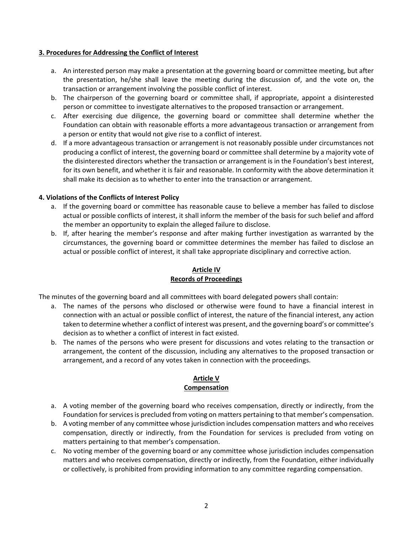### **3. Procedures for Addressing the Conflict of Interest**

- a. An interested person may make a presentation at the governing board or committee meeting, but after the presentation, he/she shall leave the meeting during the discussion of, and the vote on, the transaction or arrangement involving the possible conflict of interest.
- b. The chairperson of the governing board or committee shall, if appropriate, appoint a disinterested person or committee to investigate alternatives to the proposed transaction or arrangement.
- c. After exercising due diligence, the governing board or committee shall determine whether the Foundation can obtain with reasonable efforts a more advantageous transaction or arrangement from a person or entity that would not give rise to a conflict of interest.
- d. If a more advantageous transaction or arrangement is not reasonably possible under circumstances not producing a conflict of interest, the governing board or committee shall determine by a majority vote of the disinterested directors whether the transaction or arrangement is in the Foundation's best interest, for its own benefit, and whether it is fair and reasonable. In conformity with the above determination it shall make its decision as to whether to enter into the transaction or arrangement.

### **4. Violations of the Conflicts of Interest Policy**

- a. If the governing board or committee has reasonable cause to believe a member has failed to disclose actual or possible conflicts of interest, it shall inform the member of the basis for such belief and afford the member an opportunity to explain the alleged failure to disclose.
- b. If, after hearing the member's response and after making further investigation as warranted by the circumstances, the governing board or committee determines the member has failed to disclose an actual or possible conflict of interest, it shall take appropriate disciplinary and corrective action.

## **Article IV Records of Proceedings**

The minutes of the governing board and all committees with board delegated powers shall contain:

- a. The names of the persons who disclosed or otherwise were found to have a financial interest in connection with an actual or possible conflict of interest, the nature of the financial interest, any action taken to determine whether a conflict of interest was present, and the governing board's or committee's decision as to whether a conflict of interest in fact existed.
- b. The names of the persons who were present for discussions and votes relating to the transaction or arrangement, the content of the discussion, including any alternatives to the proposed transaction or arrangement, and a record of any votes taken in connection with the proceedings.

## **Article V Compensation**

- a. A voting member of the governing board who receives compensation, directly or indirectly, from the Foundation for services is precluded from voting on matters pertaining to that member's compensation.
- b. A voting member of any committee whose jurisdiction includes compensation matters and who receives compensation, directly or indirectly, from the Foundation for services is precluded from voting on matters pertaining to that member's compensation.
- c. No voting member of the governing board or any committee whose jurisdiction includes compensation matters and who receives compensation, directly or indirectly, from the Foundation, either individually or collectively, is prohibited from providing information to any committee regarding compensation.